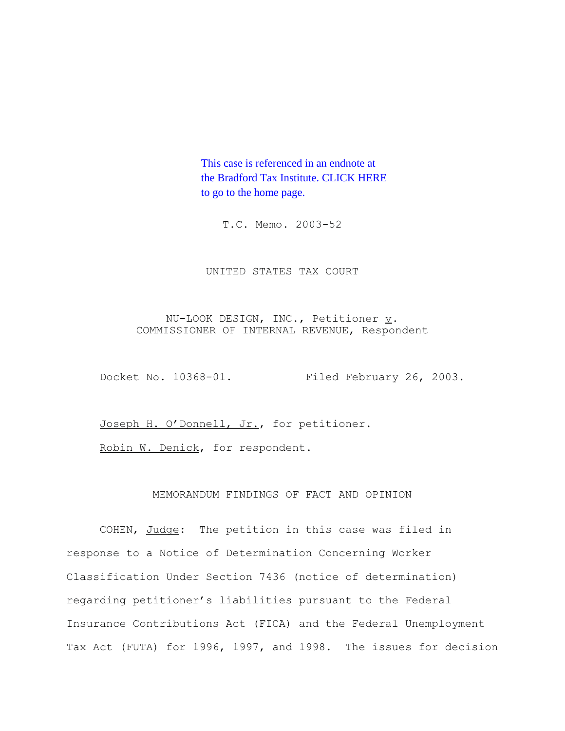This case is referenced in an endnote at [the Bradford Tax Institute. CLICK HERE](http://www.bradfordtaxinstitute.com/)  to go to the home page.

T.C. Memo. 2003-52

UNITED STATES TAX COURT

NU-LOOK DESIGN, INC., Petitioner  $\underline{v}$ . COMMISSIONER OF INTERNAL REVENUE, Respondent

Docket No. 10368-01. Filed February 26, 2003.

Joseph H. O'Donnell, Jr., for petitioner.

Robin W. Denick, for respondent.

## MEMORANDUM FINDINGS OF FACT AND OPINION

COHEN, Judge: The petition in this case was filed in response to a Notice of Determination Concerning Worker Classification Under Section 7436 (notice of determination) regarding petitioner's liabilities pursuant to the Federal Insurance Contributions Act (FICA) and the Federal Unemployment Tax Act (FUTA) for 1996, 1997, and 1998. The issues for decision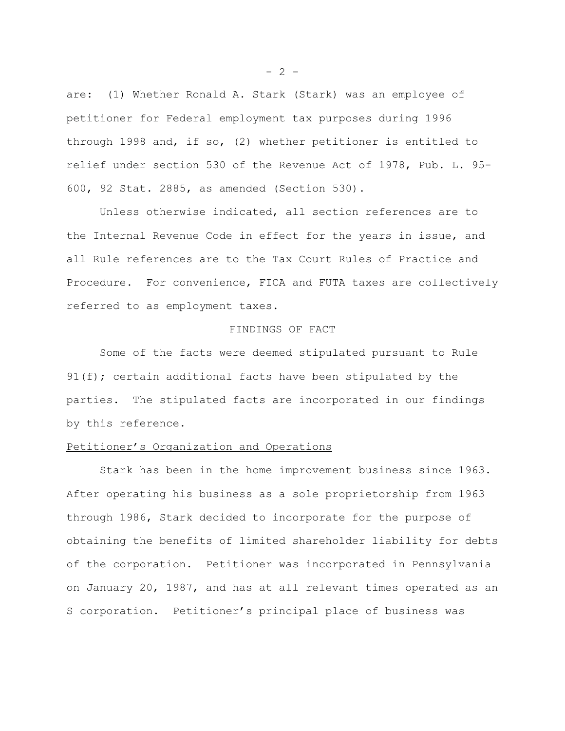are: (1) Whether Ronald A. Stark (Stark) was an employee of petitioner for Federal employment tax purposes during 1996 through 1998 and, if so, (2) whether petitioner is entitled to relief under section 530 of the Revenue Act of 1978, Pub. L. 95- 600, 92 Stat. 2885, as amended (Section 530).

Unless otherwise indicated, all section references are to the Internal Revenue Code in effect for the years in issue, and all Rule references are to the Tax Court Rules of Practice and Procedure. For convenience, FICA and FUTA taxes are collectively referred to as employment taxes.

### FINDINGS OF FACT

Some of the facts were deemed stipulated pursuant to Rule 91(f); certain additional facts have been stipulated by the parties. The stipulated facts are incorporated in our findings by this reference.

## Petitioner's Organization and Operations

Stark has been in the home improvement business since 1963. After operating his business as a sole proprietorship from 1963 through 1986, Stark decided to incorporate for the purpose of obtaining the benefits of limited shareholder liability for debts of the corporation. Petitioner was incorporated in Pennsylvania on January 20, 1987, and has at all relevant times operated as an S corporation. Petitioner's principal place of business was

 $- 2 -$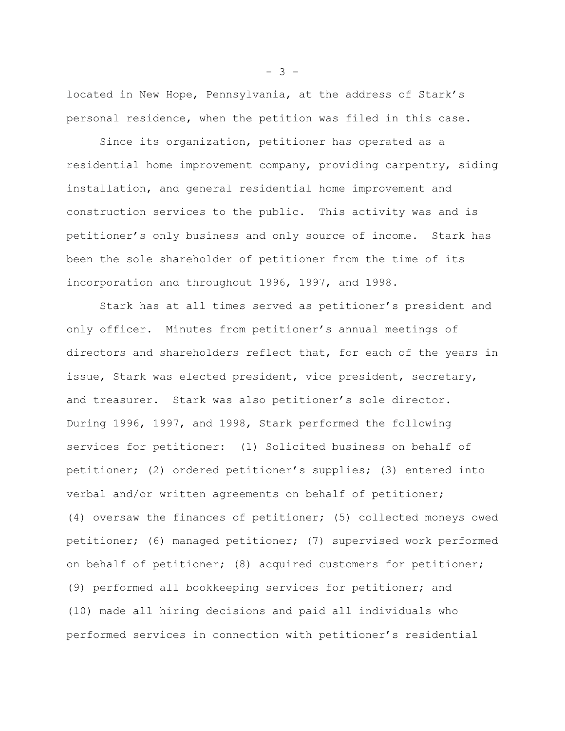located in New Hope, Pennsylvania, at the address of Stark's personal residence, when the petition was filed in this case.

Since its organization, petitioner has operated as a residential home improvement company, providing carpentry, siding installation, and general residential home improvement and construction services to the public. This activity was and is petitioner's only business and only source of income. Stark has been the sole shareholder of petitioner from the time of its incorporation and throughout 1996, 1997, and 1998.

Stark has at all times served as petitioner's president and only officer. Minutes from petitioner's annual meetings of directors and shareholders reflect that, for each of the years in issue, Stark was elected president, vice president, secretary, and treasurer. Stark was also petitioner's sole director. During 1996, 1997, and 1998, Stark performed the following services for petitioner: (1) Solicited business on behalf of petitioner; (2) ordered petitioner's supplies; (3) entered into verbal and/or written agreements on behalf of petitioner; (4) oversaw the finances of petitioner; (5) collected moneys owed petitioner; (6) managed petitioner; (7) supervised work performed on behalf of petitioner; (8) acquired customers for petitioner; (9) performed all bookkeeping services for petitioner; and (10) made all hiring decisions and paid all individuals who performed services in connection with petitioner's residential

 $- 3 -$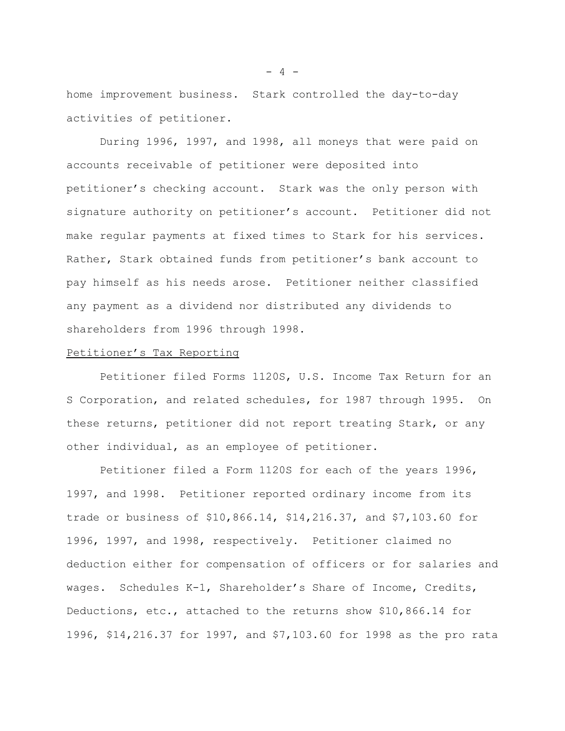home improvement business. Stark controlled the day-to-day activities of petitioner.

During 1996, 1997, and 1998, all moneys that were paid on accounts receivable of petitioner were deposited into petitioner's checking account. Stark was the only person with signature authority on petitioner's account. Petitioner did not make regular payments at fixed times to Stark for his services. Rather, Stark obtained funds from petitioner's bank account to pay himself as his needs arose. Petitioner neither classified any payment as a dividend nor distributed any dividends to shareholders from 1996 through 1998.

### Petitioner's Tax Reporting

Petitioner filed Forms 1120S, U.S. Income Tax Return for an S Corporation, and related schedules, for 1987 through 1995. On these returns, petitioner did not report treating Stark, or any other individual, as an employee of petitioner.

Petitioner filed a Form 1120S for each of the years 1996, 1997, and 1998. Petitioner reported ordinary income from its trade or business of \$10,866.14, \$14,216.37, and \$7,103.60 for 1996, 1997, and 1998, respectively. Petitioner claimed no deduction either for compensation of officers or for salaries and wages. Schedules K-1, Shareholder's Share of Income, Credits, Deductions, etc., attached to the returns show \$10,866.14 for 1996, \$14,216.37 for 1997, and \$7,103.60 for 1998 as the pro rata

 $- 4 -$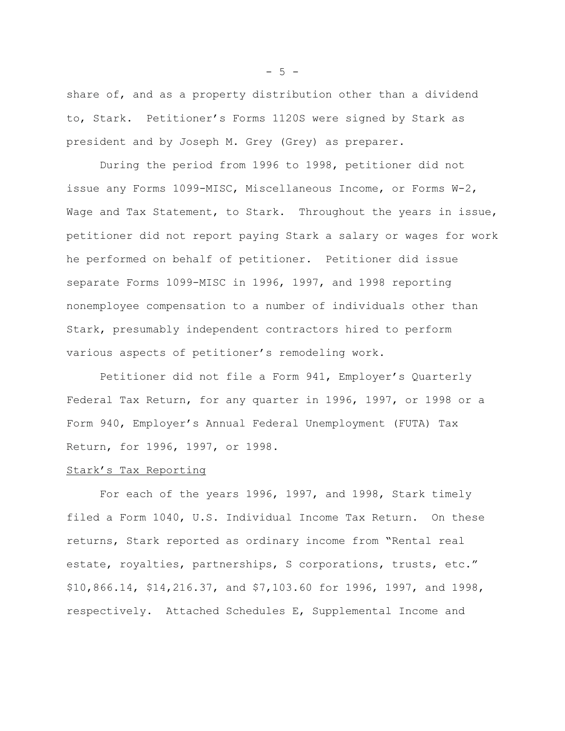share of, and as a property distribution other than a dividend to, Stark. Petitioner's Forms 1120S were signed by Stark as president and by Joseph M. Grey (Grey) as preparer.

During the period from 1996 to 1998, petitioner did not issue any Forms 1099-MISC, Miscellaneous Income, or Forms W-2, Wage and Tax Statement, to Stark. Throughout the years in issue, petitioner did not report paying Stark a salary or wages for work he performed on behalf of petitioner. Petitioner did issue separate Forms 1099-MISC in 1996, 1997, and 1998 reporting nonemployee compensation to a number of individuals other than Stark, presumably independent contractors hired to perform various aspects of petitioner's remodeling work.

Petitioner did not file a Form 941, Employer's Quarterly Federal Tax Return, for any quarter in 1996, 1997, or 1998 or a Form 940, Employer's Annual Federal Unemployment (FUTA) Tax Return, for 1996, 1997, or 1998.

#### Stark's Tax Reporting

For each of the years 1996, 1997, and 1998, Stark timely filed a Form 1040, U.S. Individual Income Tax Return. On these returns, Stark reported as ordinary income from "Rental real estate, royalties, partnerships, S corporations, trusts, etc." \$10,866.14, \$14,216.37, and \$7,103.60 for 1996, 1997, and 1998, respectively. Attached Schedules E, Supplemental Income and

 $-5 -$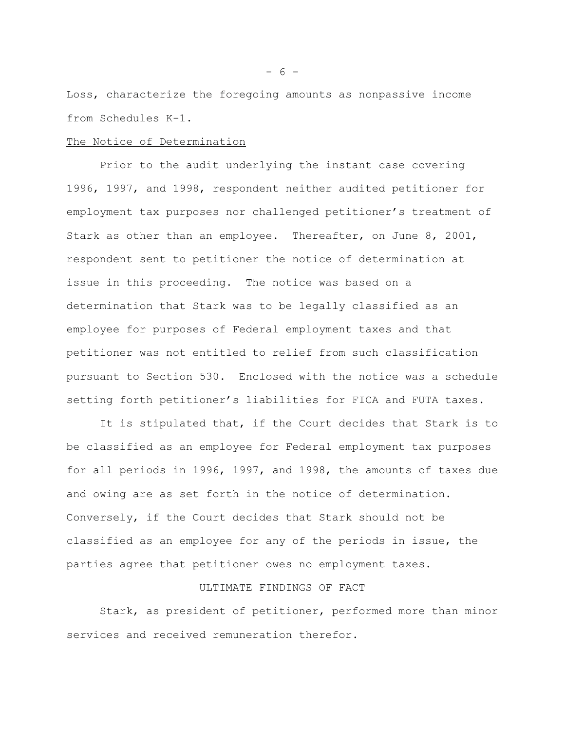Loss, characterize the foregoing amounts as nonpassive income from Schedules K-1.

#### The Notice of Determination

Prior to the audit underlying the instant case covering 1996, 1997, and 1998, respondent neither audited petitioner for employment tax purposes nor challenged petitioner's treatment of Stark as other than an employee. Thereafter, on June 8, 2001, respondent sent to petitioner the notice of determination at issue in this proceeding. The notice was based on a determination that Stark was to be legally classified as an employee for purposes of Federal employment taxes and that petitioner was not entitled to relief from such classification pursuant to Section 530. Enclosed with the notice was a schedule setting forth petitioner's liabilities for FICA and FUTA taxes.

It is stipulated that, if the Court decides that Stark is to be classified as an employee for Federal employment tax purposes for all periods in 1996, 1997, and 1998, the amounts of taxes due and owing are as set forth in the notice of determination. Conversely, if the Court decides that Stark should not be classified as an employee for any of the periods in issue, the parties agree that petitioner owes no employment taxes.

### ULTIMATE FINDINGS OF FACT

Stark, as president of petitioner, performed more than minor services and received remuneration therefor.

 $- 6 -$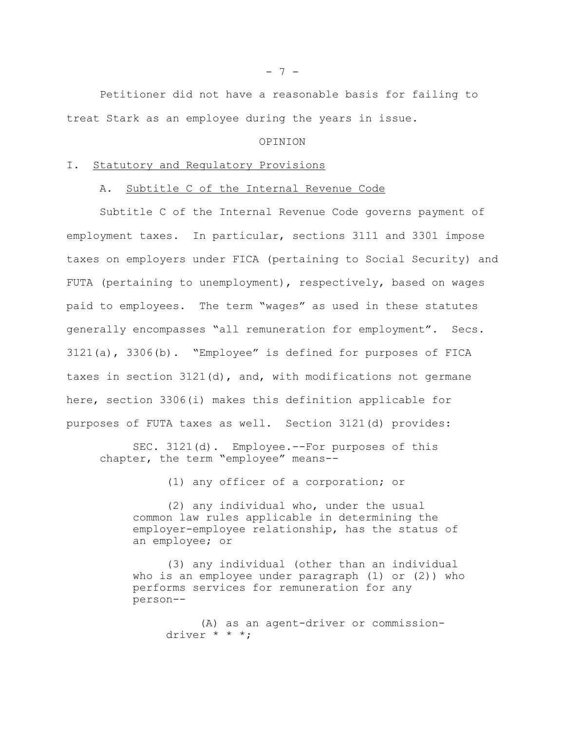Petitioner did not have a reasonable basis for failing to treat Stark as an employee during the years in issue.

### OPINION

### I. Statutory and Regulatory Provisions

## A. Subtitle C of the Internal Revenue Code

Subtitle C of the Internal Revenue Code governs payment of employment taxes. In particular, sections 3111 and 3301 impose taxes on employers under FICA (pertaining to Social Security) and FUTA (pertaining to unemployment), respectively, based on wages paid to employees. The term "wages" as used in these statutes generally encompasses "all remuneration for employment". Secs. 3121(a), 3306(b). "Employee" is defined for purposes of FICA taxes in section 3121(d), and, with modifications not germane here, section 3306(i) makes this definition applicable for purposes of FUTA taxes as well. Section 3121(d) provides:

SEC. 3121(d). Employee.--For purposes of this chapter, the term "employee" means--

(1) any officer of a corporation; or

(2) any individual who, under the usual common law rules applicable in determining the employer-employee relationship, has the status of an employee; or

(3) any individual (other than an individual who is an employee under paragraph (1) or (2)) who performs services for remuneration for any person--

> (A) as an agent-driver or commissiondriver \* \* \*;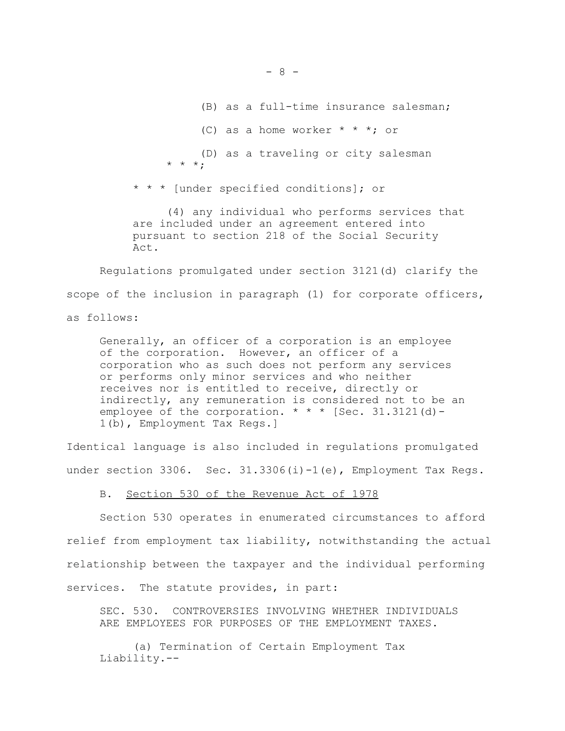(B) as a full-time insurance salesman; (C) as a home worker  $* * *$ ; or (D) as a traveling or city salesman \* \* \*;

\* \* \* [under specified conditions]; or

(4) any individual who performs services that are included under an agreement entered into pursuant to section 218 of the Social Security Act.

Regulations promulgated under section 3121(d) clarify the scope of the inclusion in paragraph (1) for corporate officers, as follows:

Generally, an officer of a corporation is an employee of the corporation. However, an officer of a corporation who as such does not perform any services or performs only minor services and who neither receives nor is entitled to receive, directly or indirectly, any remuneration is considered not to be an employee of the corporation.  $* * *$  [Sec. 31.3121(d)-1(b), Employment Tax Regs.]

Identical language is also included in regulations promulgated under section 3306. Sec. 31.3306(i)-1(e), Employment Tax Regs.

B. Section 530 of the Revenue Act of 1978

Section 530 operates in enumerated circumstances to afford relief from employment tax liability, notwithstanding the actual relationship between the taxpayer and the individual performing services. The statute provides, in part:

SEC. 530. CONTROVERSIES INVOLVING WHETHER INDIVIDUALS ARE EMPLOYEES FOR PURPOSES OF THE EMPLOYMENT TAXES.

(a) Termination of Certain Employment Tax Liability.--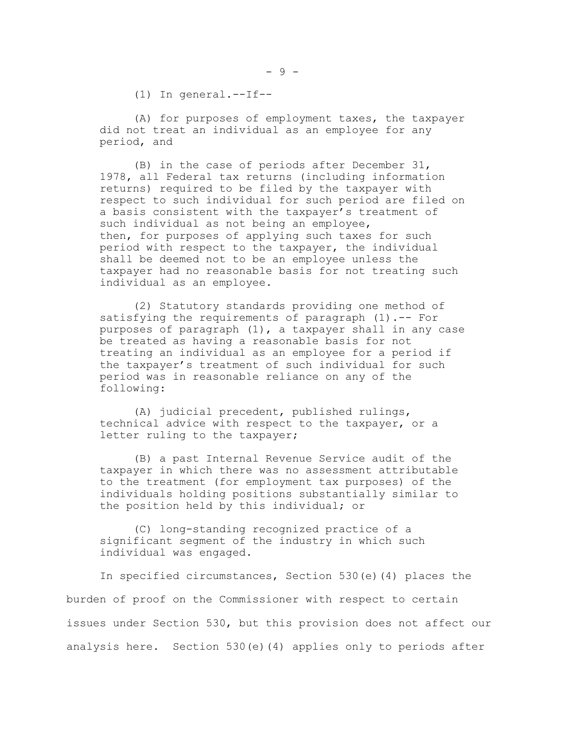(1) In general.--If--

(A) for purposes of employment taxes, the taxpayer did not treat an individual as an employee for any period, and

(B) in the case of periods after December 31, 1978, all Federal tax returns (including information returns) required to be filed by the taxpayer with respect to such individual for such period are filed on a basis consistent with the taxpayer's treatment of such individual as not being an employee, then, for purposes of applying such taxes for such period with respect to the taxpayer, the individual shall be deemed not to be an employee unless the taxpayer had no reasonable basis for not treating such individual as an employee.

(2) Statutory standards providing one method of satisfying the requirements of paragraph (1).-- For purposes of paragraph (1), a taxpayer shall in any case be treated as having a reasonable basis for not treating an individual as an employee for a period if the taxpayer's treatment of such individual for such period was in reasonable reliance on any of the following:

(A) judicial precedent, published rulings, technical advice with respect to the taxpayer, or a letter ruling to the taxpayer;

(B) a past Internal Revenue Service audit of the taxpayer in which there was no assessment attributable to the treatment (for employment tax purposes) of the individuals holding positions substantially similar to the position held by this individual; or

(C) long-standing recognized practice of a significant segment of the industry in which such individual was engaged.

In specified circumstances, Section 530(e)(4) places the burden of proof on the Commissioner with respect to certain issues under Section 530, but this provision does not affect our analysis here. Section 530(e)(4) applies only to periods after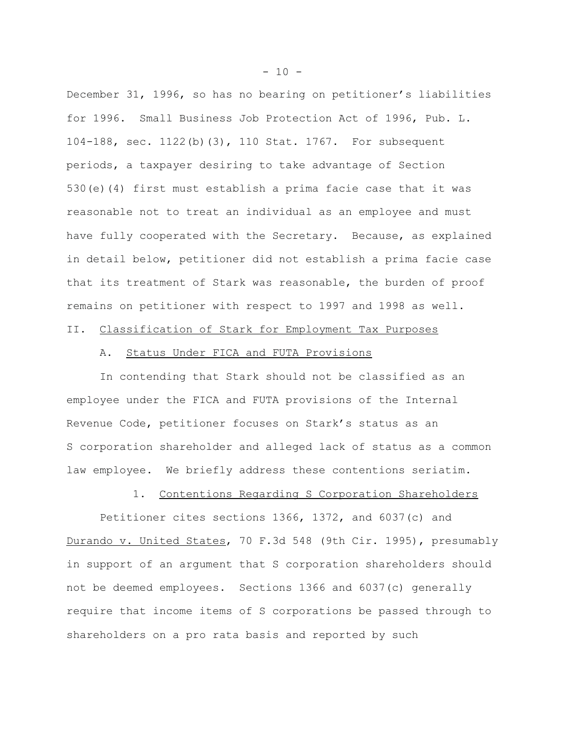December 31, 1996, so has no bearing on petitioner's liabilities for 1996. Small Business Job Protection Act of 1996, Pub. L. 104-188, sec. 1122(b)(3), 110 Stat. 1767. For subsequent periods, a taxpayer desiring to take advantage of Section 530(e)(4) first must establish a prima facie case that it was reasonable not to treat an individual as an employee and must have fully cooperated with the Secretary. Because, as explained in detail below, petitioner did not establish a prima facie case that its treatment of Stark was reasonable, the burden of proof remains on petitioner with respect to 1997 and 1998 as well.

# II. Classification of Stark for Employment Tax Purposes

## A. Status Under FICA and FUTA Provisions

In contending that Stark should not be classified as an employee under the FICA and FUTA provisions of the Internal Revenue Code, petitioner focuses on Stark's status as an S corporation shareholder and alleged lack of status as a common law employee. We briefly address these contentions seriatim.

## 1. Contentions Regarding S Corporation Shareholders

Petitioner cites sections 1366, 1372, and 6037(c) and Durando v. United States, 70 F.3d 548 (9th Cir. 1995), presumably in support of an argument that S corporation shareholders should not be deemed employees. Sections 1366 and 6037(c) generally require that income items of S corporations be passed through to shareholders on a pro rata basis and reported by such

 $- 10 -$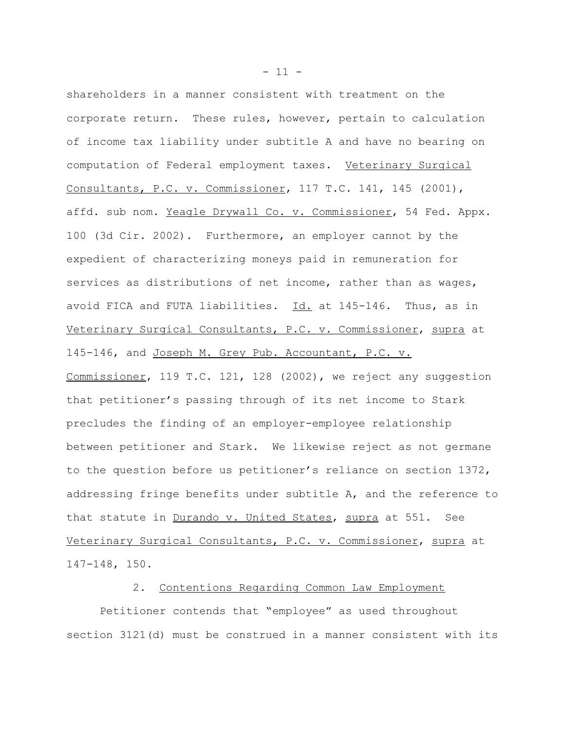shareholders in a manner consistent with treatment on the corporate return. These rules, however, pertain to calculation of income tax liability under subtitle A and have no bearing on computation of Federal employment taxes. Veterinary Surgical Consultants, P.C. v. Commissioner, 117 T.C. 141, 145 (2001), affd. sub nom. Yeagle Drywall Co. v. Commissioner, 54 Fed. Appx. 100 (3d Cir. 2002). Furthermore, an employer cannot by the expedient of characterizing moneys paid in remuneration for services as distributions of net income, rather than as wages, avoid FICA and FUTA liabilities. Id. at 145-146. Thus, as in Veterinary Surgical Consultants, P.C. v. Commissioner, supra at 145-146, and Joseph M. Grey Pub. Accountant, P.C. v. Commissioner, 119 T.C. 121, 128 (2002), we reject any suggestion that petitioner's passing through of its net income to Stark precludes the finding of an employer-employee relationship between petitioner and Stark. We likewise reject as not germane to the question before us petitioner's reliance on section 1372, addressing fringe benefits under subtitle A, and the reference to that statute in Durando v. United States, supra at 551. See Veterinary Surgical Consultants, P.C. v. Commissioner, supra at 147-148, 150.

### 2. Contentions Regarding Common Law Employment

Petitioner contends that "employee" as used throughout section 3121(d) must be construed in a manner consistent with its

 $- 11 -$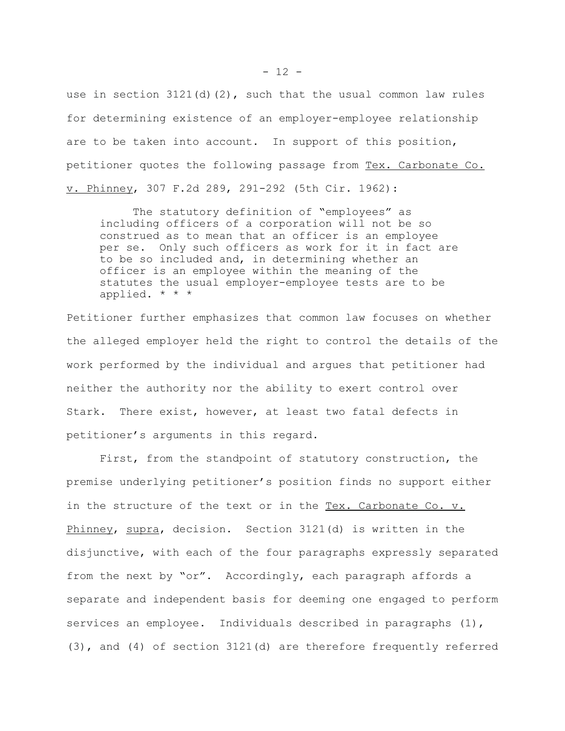use in section  $3121(d)(2)$ , such that the usual common law rules for determining existence of an employer-employee relationship are to be taken into account. In support of this position, petitioner quotes the following passage from Tex. Carbonate Co. v. Phinney, 307 F.2d 289, 291-292 (5th Cir. 1962):

The statutory definition of "employees" as including officers of a corporation will not be so construed as to mean that an officer is an employee per se. Only such officers as work for it in fact are to be so included and, in determining whether an officer is an employee within the meaning of the statutes the usual employer-employee tests are to be applied. \* \* \*

Petitioner further emphasizes that common law focuses on whether the alleged employer held the right to control the details of the work performed by the individual and argues that petitioner had neither the authority nor the ability to exert control over Stark. There exist, however, at least two fatal defects in petitioner's arguments in this regard.

First, from the standpoint of statutory construction, the premise underlying petitioner's position finds no support either in the structure of the text or in the Tex. Carbonate Co. v. Phinney, supra, decision. Section 3121(d) is written in the disjunctive, with each of the four paragraphs expressly separated from the next by "or". Accordingly, each paragraph affords a separate and independent basis for deeming one engaged to perform services an employee. Individuals described in paragraphs (1), (3), and (4) of section 3121(d) are therefore frequently referred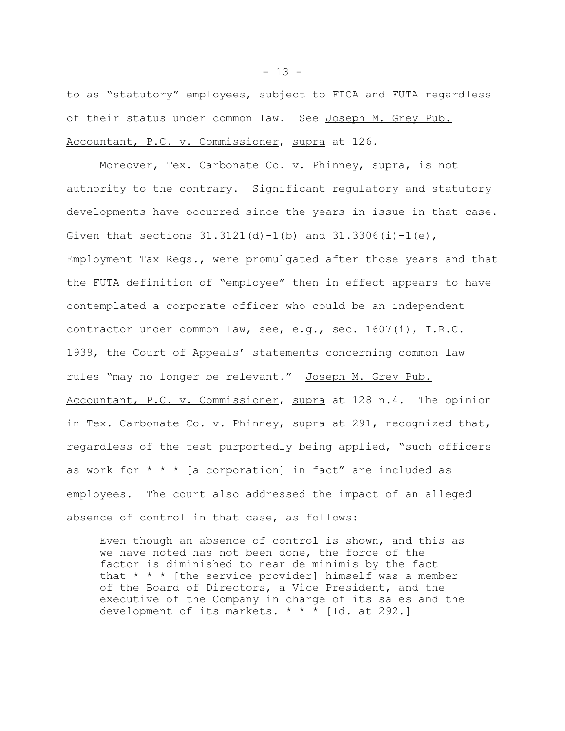to as "statutory" employees, subject to FICA and FUTA regardless of their status under common law. See Joseph M. Grey Pub. Accountant, P.C. v. Commissioner, supra at 126.

Moreover, Tex. Carbonate Co. v. Phinney, supra, is not authority to the contrary. Significant regulatory and statutory developments have occurred since the years in issue in that case. Given that sections  $31.3121(d) - 1(b)$  and  $31.3306(i) - 1(e)$ , Employment Tax Regs., were promulgated after those years and that the FUTA definition of "employee" then in effect appears to have contemplated a corporate officer who could be an independent contractor under common law, see, e.g., sec. 1607(i), I.R.C. 1939, the Court of Appeals' statements concerning common law rules "may no longer be relevant." Joseph M. Grey Pub. Accountant, P.C. v. Commissioner, supra at 128 n.4. The opinion in Tex. Carbonate Co. v. Phinney, supra at 291, recognized that, regardless of the test purportedly being applied, "such officers as work for  $* * *$  [a corporation] in fact" are included as employees. The court also addressed the impact of an alleged absence of control in that case, as follows:

Even though an absence of control is shown, and this as we have noted has not been done, the force of the factor is diminished to near de minimis by the fact that  $* * *$  [the service provider] himself was a member of the Board of Directors, a Vice President, and the executive of the Company in charge of its sales and the development of its markets. \* \* \* [Id. at 292.]

 $- 13 -$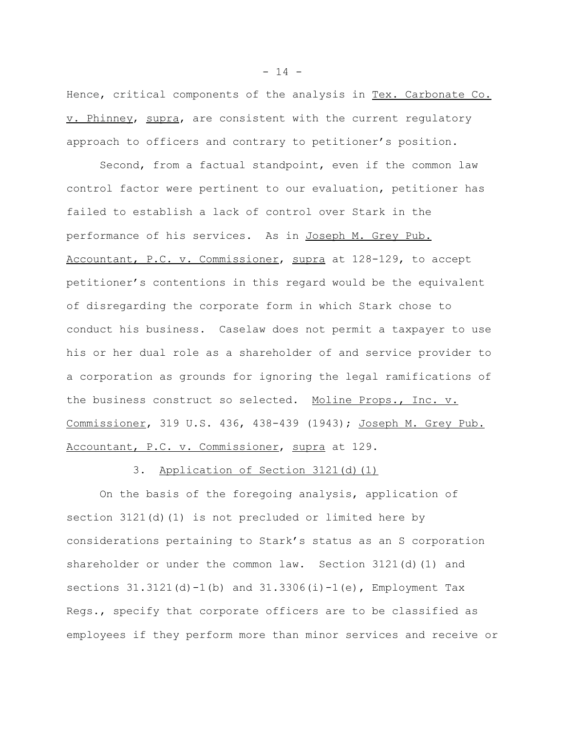Hence, critical components of the analysis in Tex. Carbonate Co. v. Phinney, supra, are consistent with the current regulatory approach to officers and contrary to petitioner's position.

Second, from a factual standpoint, even if the common law control factor were pertinent to our evaluation, petitioner has failed to establish a lack of control over Stark in the performance of his services. As in Joseph M. Grey Pub. Accountant, P.C. v. Commissioner, supra at 128-129, to accept petitioner's contentions in this regard would be the equivalent of disregarding the corporate form in which Stark chose to conduct his business. Caselaw does not permit a taxpayer to use his or her dual role as a shareholder of and service provider to a corporation as grounds for ignoring the legal ramifications of the business construct so selected. Moline Props., Inc. v. Commissioner, 319 U.S. 436, 438-439 (1943); Joseph M. Grey Pub. Accountant, P.C. v. Commissioner, supra at 129.

3. Application of Section 3121(d)(1)

On the basis of the foregoing analysis, application of section 3121(d)(1) is not precluded or limited here by considerations pertaining to Stark's status as an S corporation shareholder or under the common law. Section 3121(d)(1) and sections  $31.3121(d)-1(b)$  and  $31.3306(i)-1(e)$ , Employment Tax Regs., specify that corporate officers are to be classified as employees if they perform more than minor services and receive or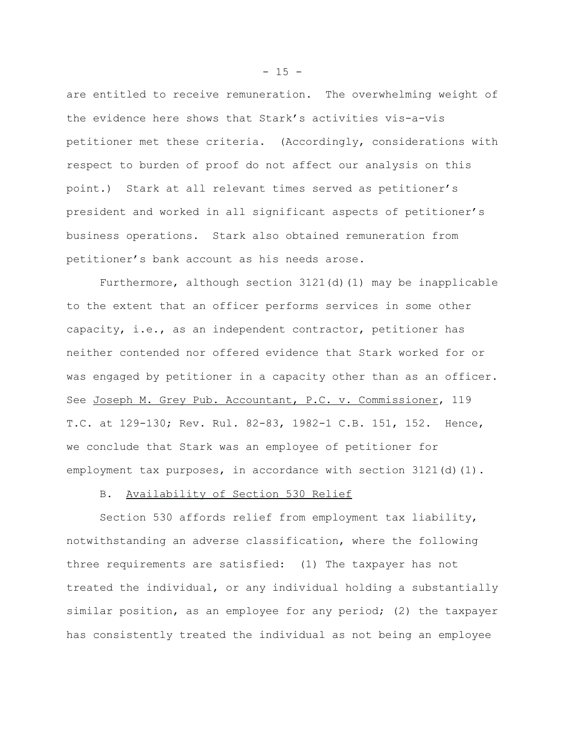are entitled to receive remuneration. The overwhelming weight of the evidence here shows that Stark's activities vis-a-vis petitioner met these criteria. (Accordingly, considerations with respect to burden of proof do not affect our analysis on this point.) Stark at all relevant times served as petitioner's president and worked in all significant aspects of petitioner's business operations. Stark also obtained remuneration from petitioner's bank account as his needs arose.

Furthermore, although section 3121(d)(1) may be inapplicable to the extent that an officer performs services in some other capacity, i.e., as an independent contractor, petitioner has neither contended nor offered evidence that Stark worked for or was engaged by petitioner in a capacity other than as an officer. See Joseph M. Grey Pub. Accountant, P.C. v. Commissioner, 119 T.C. at 129-130; Rev. Rul. 82-83, 1982-1 C.B. 151, 152. Hence, we conclude that Stark was an employee of petitioner for employment tax purposes, in accordance with section  $3121(d)(1)$ .

## B. Availability of Section 530 Relief

Section 530 affords relief from employment tax liability, notwithstanding an adverse classification, where the following three requirements are satisfied: (1) The taxpayer has not treated the individual, or any individual holding a substantially similar position, as an employee for any period; (2) the taxpayer has consistently treated the individual as not being an employee

 $- 15 -$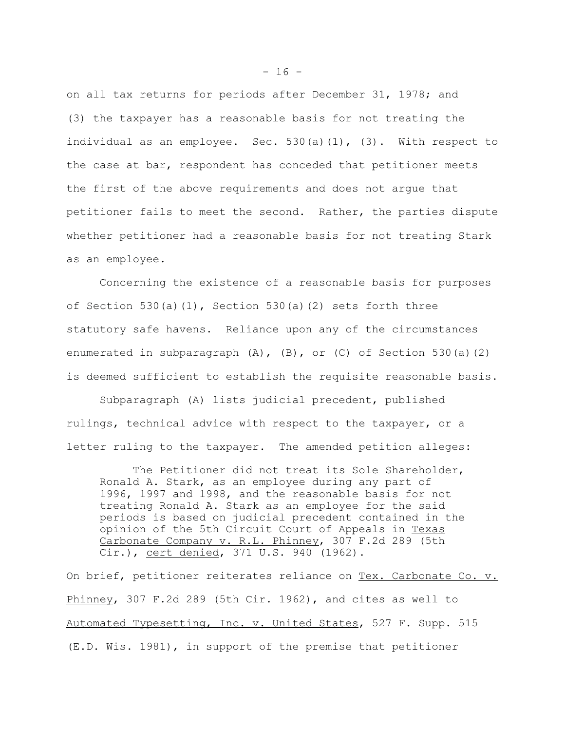on all tax returns for periods after December 31, 1978; and (3) the taxpayer has a reasonable basis for not treating the individual as an employee. Sec.  $530(a)(1)$ ,  $(3)$ . With respect to the case at bar, respondent has conceded that petitioner meets the first of the above requirements and does not argue that petitioner fails to meet the second. Rather, the parties dispute whether petitioner had a reasonable basis for not treating Stark as an employee.

Concerning the existence of a reasonable basis for purposes of Section 530(a)(1), Section 530(a)(2) sets forth three statutory safe havens. Reliance upon any of the circumstances enumerated in subparagraph  $(A)$ ,  $(B)$ , or  $(C)$  of Section 530(a)(2) is deemed sufficient to establish the requisite reasonable basis.

Subparagraph (A) lists judicial precedent, published rulings, technical advice with respect to the taxpayer, or a letter ruling to the taxpayer. The amended petition alleges:

The Petitioner did not treat its Sole Shareholder, Ronald A. Stark, as an employee during any part of 1996, 1997 and 1998, and the reasonable basis for not treating Ronald A. Stark as an employee for the said periods is based on judicial precedent contained in the opinion of the 5th Circuit Court of Appeals in Texas Carbonate Company v. R.L. Phinney, 307 F.2d 289 (5th Cir.), cert denied, 371 U.S. 940 (1962).

On brief, petitioner reiterates reliance on Tex. Carbonate Co. v. Phinney, 307 F.2d 289 (5th Cir. 1962), and cites as well to Automated Typesetting, Inc. v. United States, 527 F. Supp. 515 (E.D. Wis. 1981), in support of the premise that petitioner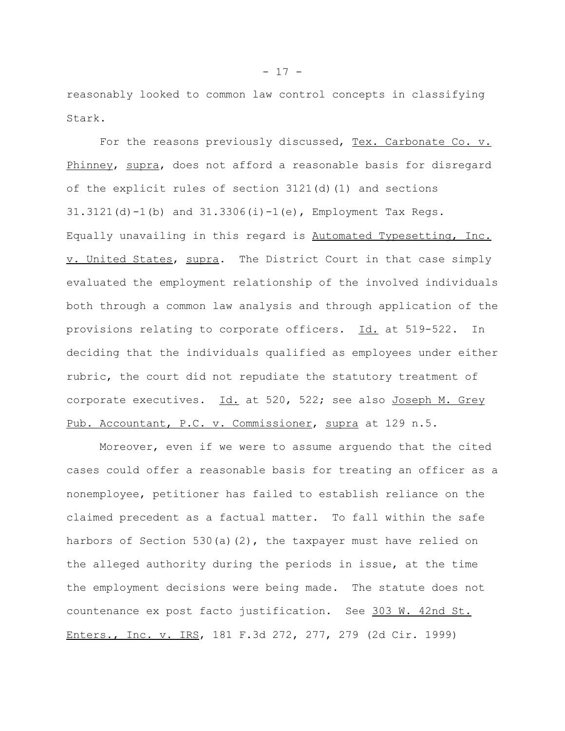reasonably looked to common law control concepts in classifying Stark.

For the reasons previously discussed, Tex. Carbonate Co. v. Phinney, supra, does not afford a reasonable basis for disregard of the explicit rules of section 3121(d)(1) and sections  $31.3121(d) - 1(b)$  and  $31.3306(i) - 1(e)$ , Employment Tax Regs. Equally unavailing in this regard is Automated Typesetting, Inc. v. United States, supra. The District Court in that case simply evaluated the employment relationship of the involved individuals both through a common law analysis and through application of the provisions relating to corporate officers. Id. at 519-522. In deciding that the individuals qualified as employees under either rubric, the court did not repudiate the statutory treatment of corporate executives. Id. at 520, 522; see also Joseph M. Grey Pub. Accountant, P.C. v. Commissioner, supra at 129 n.5.

Moreover, even if we were to assume arguendo that the cited cases could offer a reasonable basis for treating an officer as a nonemployee, petitioner has failed to establish reliance on the claimed precedent as a factual matter. To fall within the safe harbors of Section 530(a)(2), the taxpayer must have relied on the alleged authority during the periods in issue, at the time the employment decisions were being made. The statute does not countenance ex post facto justification. See 303 W. 42nd St. Enters., Inc. v. IRS, 181 F.3d 272, 277, 279 (2d Cir. 1999)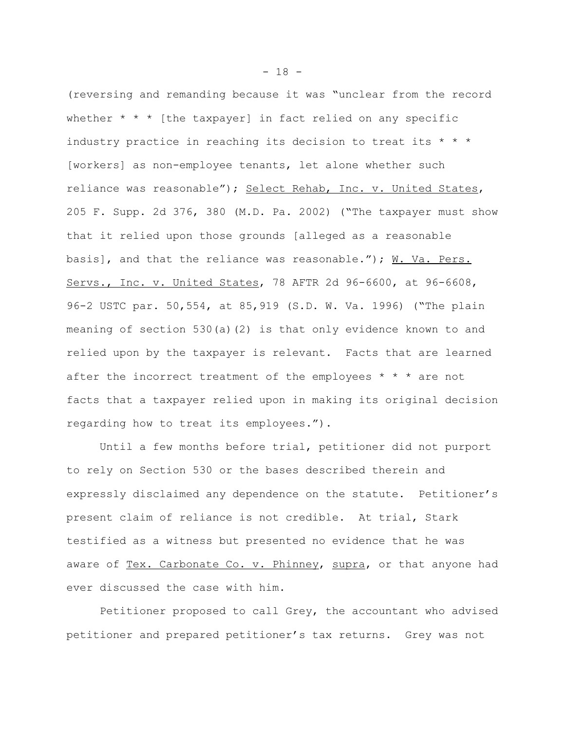(reversing and remanding because it was "unclear from the record whether  $* * *$  [the taxpayer] in fact relied on any specific industry practice in reaching its decision to treat its  $* * * *$ [workers] as non-employee tenants, let alone whether such reliance was reasonable"); Select Rehab, Inc. v. United States, 205 F. Supp. 2d 376, 380 (M.D. Pa. 2002) ("The taxpayer must show that it relied upon those grounds [alleged as a reasonable basis], and that the reliance was reasonable."); W. Va. Pers. Servs., Inc. v. United States, 78 AFTR 2d 96-6600, at 96-6608, 96-2 USTC par. 50,554, at 85,919 (S.D. W. Va. 1996) ("The plain meaning of section 530(a)(2) is that only evidence known to and relied upon by the taxpayer is relevant. Facts that are learned after the incorrect treatment of the employees  $* * *$  are not facts that a taxpayer relied upon in making its original decision regarding how to treat its employees.").

Until a few months before trial, petitioner did not purport to rely on Section 530 or the bases described therein and expressly disclaimed any dependence on the statute. Petitioner's present claim of reliance is not credible. At trial, Stark testified as a witness but presented no evidence that he was aware of Tex. Carbonate Co. v. Phinney, supra, or that anyone had ever discussed the case with him.

Petitioner proposed to call Grey, the accountant who advised petitioner and prepared petitioner's tax returns. Grey was not

 $- 18 -$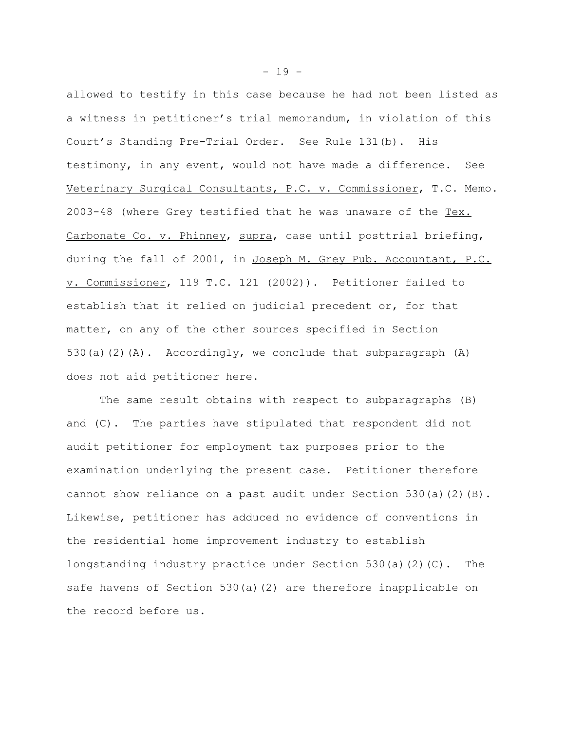allowed to testify in this case because he had not been listed as a witness in petitioner's trial memorandum, in violation of this Court's Standing Pre-Trial Order. See Rule 131(b). His testimony, in any event, would not have made a difference. See Veterinary Surgical Consultants, P.C. v. Commissioner, T.C. Memo. 2003-48 (where Grey testified that he was unaware of the Tex. Carbonate Co. v. Phinney, supra, case until posttrial briefing, during the fall of 2001, in Joseph M. Grey Pub. Accountant, P.C. v. Commissioner, 119 T.C. 121 (2002)). Petitioner failed to establish that it relied on judicial precedent or, for that matter, on any of the other sources specified in Section 530(a)(2)(A). Accordingly, we conclude that subparagraph  $(A)$ does not aid petitioner here.

The same result obtains with respect to subparagraphs (B) and (C). The parties have stipulated that respondent did not audit petitioner for employment tax purposes prior to the examination underlying the present case. Petitioner therefore cannot show reliance on a past audit under Section 530(a)(2)(B). Likewise, petitioner has adduced no evidence of conventions in the residential home improvement industry to establish longstanding industry practice under Section 530(a)(2)(C). The safe havens of Section 530(a)(2) are therefore inapplicable on the record before us.

 $- 19 -$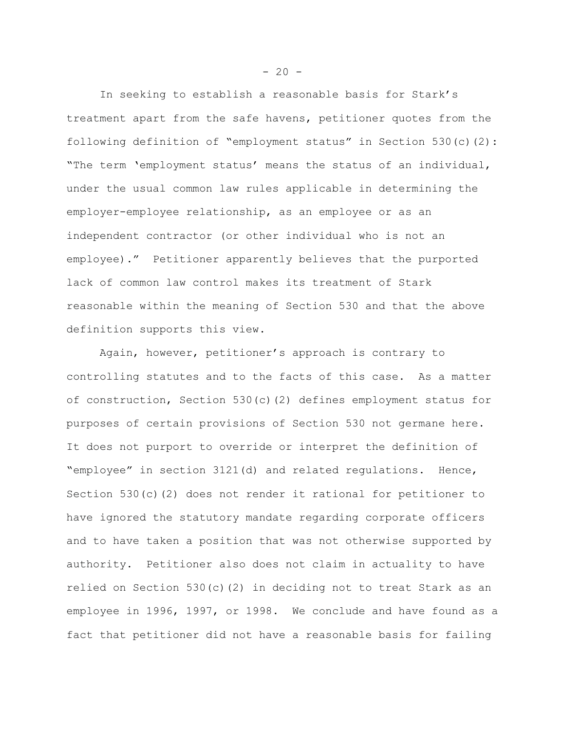In seeking to establish a reasonable basis for Stark's treatment apart from the safe havens, petitioner quotes from the following definition of "employment status" in Section 530(c)(2): "The term 'employment status' means the status of an individual, under the usual common law rules applicable in determining the employer-employee relationship, as an employee or as an independent contractor (or other individual who is not an employee)." Petitioner apparently believes that the purported lack of common law control makes its treatment of Stark reasonable within the meaning of Section 530 and that the above definition supports this view.

Again, however, petitioner's approach is contrary to controlling statutes and to the facts of this case. As a matter of construction, Section 530(c)(2) defines employment status for purposes of certain provisions of Section 530 not germane here. It does not purport to override or interpret the definition of "employee" in section 3121(d) and related regulations. Hence, Section 530(c)(2) does not render it rational for petitioner to have ignored the statutory mandate regarding corporate officers and to have taken a position that was not otherwise supported by authority. Petitioner also does not claim in actuality to have relied on Section 530(c)(2) in deciding not to treat Stark as an employee in 1996, 1997, or 1998. We conclude and have found as a fact that petitioner did not have a reasonable basis for failing

 $-20 -$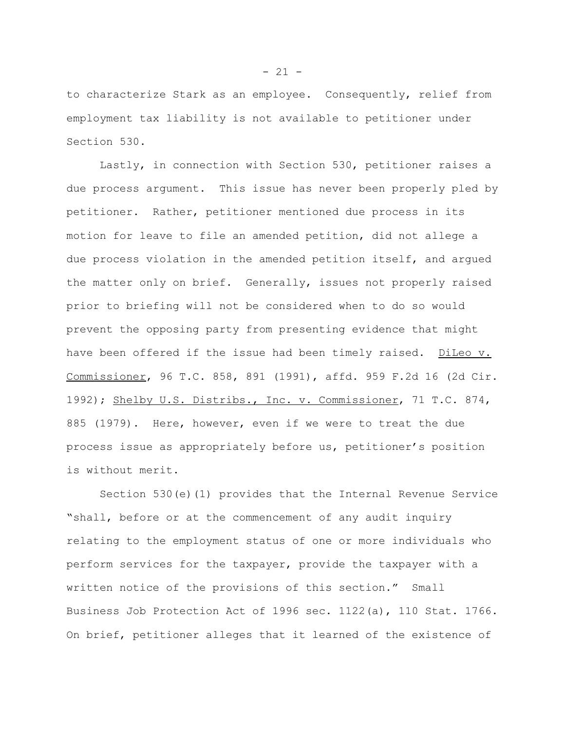to characterize Stark as an employee. Consequently, relief from employment tax liability is not available to petitioner under Section 530.

Lastly, in connection with Section 530, petitioner raises a due process argument. This issue has never been properly pled by petitioner. Rather, petitioner mentioned due process in its motion for leave to file an amended petition, did not allege a due process violation in the amended petition itself, and argued the matter only on brief. Generally, issues not properly raised prior to briefing will not be considered when to do so would prevent the opposing party from presenting evidence that might have been offered if the issue had been timely raised. DiLeo v. Commissioner, 96 T.C. 858, 891 (1991), affd. 959 F.2d 16 (2d Cir. 1992); Shelby U.S. Distribs., Inc. v. Commissioner, 71 T.C. 874, 885 (1979). Here, however, even if we were to treat the due process issue as appropriately before us, petitioner's position is without merit.

Section 530(e)(1) provides that the Internal Revenue Service "shall, before or at the commencement of any audit inquiry relating to the employment status of one or more individuals who perform services for the taxpayer, provide the taxpayer with a written notice of the provisions of this section." Small Business Job Protection Act of 1996 sec. 1122(a), 110 Stat. 1766. On brief, petitioner alleges that it learned of the existence of

 $- 21 -$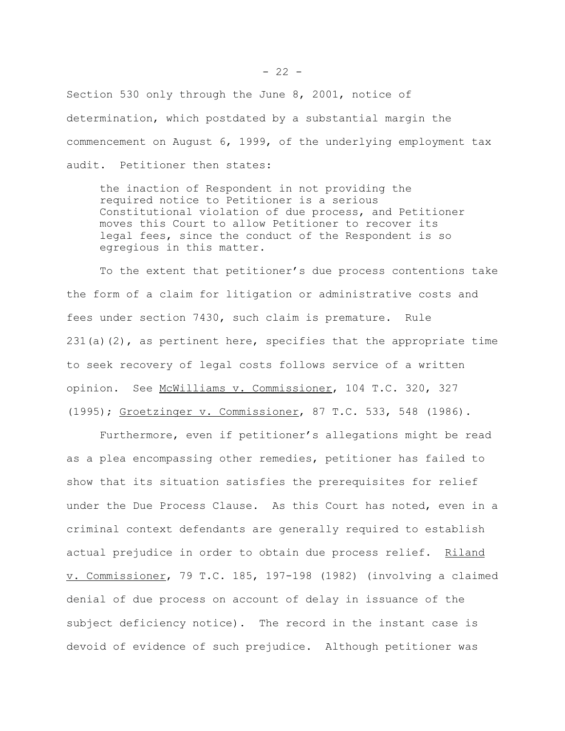Section 530 only through the June 8, 2001, notice of determination, which postdated by a substantial margin the commencement on August 6, 1999, of the underlying employment tax audit. Petitioner then states:

the inaction of Respondent in not providing the required notice to Petitioner is a serious Constitutional violation of due process, and Petitioner moves this Court to allow Petitioner to recover its legal fees, since the conduct of the Respondent is so egregious in this matter.

To the extent that petitioner's due process contentions take the form of a claim for litigation or administrative costs and fees under section 7430, such claim is premature. Rule  $231(a)(2)$ , as pertinent here, specifies that the appropriate time to seek recovery of legal costs follows service of a written opinion. See McWilliams v. Commissioner, 104 T.C. 320, 327 (1995); Groetzinger v. Commissioner, 87 T.C. 533, 548 (1986).

Furthermore, even if petitioner's allegations might be read as a plea encompassing other remedies, petitioner has failed to show that its situation satisfies the prerequisites for relief under the Due Process Clause. As this Court has noted, even in a criminal context defendants are generally required to establish actual prejudice in order to obtain due process relief. Riland v. Commissioner, 79 T.C. 185, 197-198 (1982) (involving a claimed denial of due process on account of delay in issuance of the subject deficiency notice). The record in the instant case is devoid of evidence of such prejudice. Although petitioner was

 $- 22 -$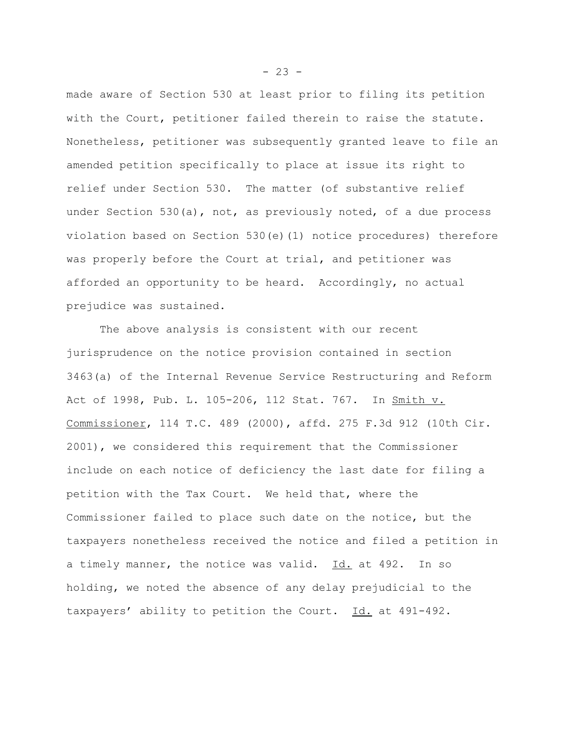made aware of Section 530 at least prior to filing its petition with the Court, petitioner failed therein to raise the statute. Nonetheless, petitioner was subsequently granted leave to file an amended petition specifically to place at issue its right to relief under Section 530. The matter (of substantive relief under Section 530(a), not, as previously noted, of a due process violation based on Section 530(e)(1) notice procedures) therefore was properly before the Court at trial, and petitioner was afforded an opportunity to be heard. Accordingly, no actual prejudice was sustained.

The above analysis is consistent with our recent jurisprudence on the notice provision contained in section 3463(a) of the Internal Revenue Service Restructuring and Reform Act of 1998, Pub. L. 105-206, 112 Stat. 767. In Smith v. Commissioner, 114 T.C. 489 (2000), affd. 275 F.3d 912 (10th Cir. 2001), we considered this requirement that the Commissioner include on each notice of deficiency the last date for filing a petition with the Tax Court. We held that, where the Commissioner failed to place such date on the notice, but the taxpayers nonetheless received the notice and filed a petition in a timely manner, the notice was valid. Id. at 492. In so holding, we noted the absence of any delay prejudicial to the taxpayers' ability to petition the Court. Id. at 491-492.

 $- 23 -$